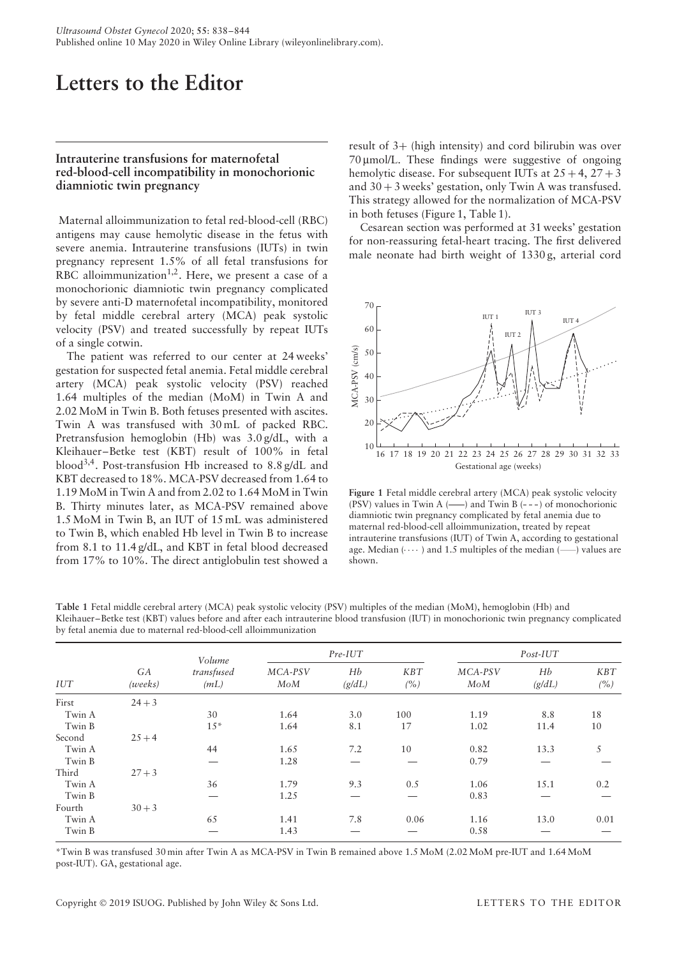## **Letters to the Editor**

## **Intrauterine transfusions for maternofetal red-blood-cell incompatibility in monochorionic diamniotic twin pregnancy**

Maternal alloimmunization to fetal red-blood-cell (RBC) antigens may cause hemolytic disease in the fetus with severe anemia. Intrauterine transfusions (IUTs) in twin pregnancy represent 1.5% of all fetal transfusions for RBC alloimmunization<sup>1,2</sup>. Here, we present a case of a monochorionic diamniotic twin pregnancy complicated by severe anti-D maternofetal incompatibility, monitored by fetal middle cerebral artery (MCA) peak systolic velocity (PSV) and treated successfully by repeat IUTs of a single cotwin.

The patient was referred to our center at 24 weeks' gestation for suspected fetal anemia. Fetal middle cerebral artery (MCA) peak systolic velocity (PSV) reached 1.64 multiples of the median (MoM) in Twin A and 2.02 MoM in Twin B. Both fetuses presented with ascites. Twin A was transfused with 30 mL of packed RBC. Pretransfusion hemoglobin (Hb) was 3.0 g/dL, with a Kleihauer–Betke test (KBT) result of 100% in fetal blood3,4. Post-transfusion Hb increased to 8.8 g/dL and KBT decreased to 18%. MCA-PSV decreased from 1.64 to 1.19 MoM in Twin A and from 2.02 to 1.64 MoM in Twin B. Thirty minutes later, as MCA-PSV remained above 1.5 MoM in Twin B, an IUT of 15 mL was administered to Twin B, which enabled Hb level in Twin B to increase from 8.1 to 11.4 g/dL, and KBT in fetal blood decreased from 17% to 10%. The direct antiglobulin test showed a result of 3+ (high intensity) and cord bilirubin was over 70 μmol/L. These findings were suggestive of ongoing hemolytic disease. For subsequent IUTs at  $25 + 4$ ,  $27 + 3$ and  $30 + 3$  weeks' gestation, only Twin A was transfused. This strategy allowed for the normalization of MCA-PSV in both fetuses (Figure 1, Table 1).

Cesarean section was performed at 31 weeks' gestation for non-reassuring fetal-heart tracing. The first delivered male neonate had birth weight of 1330 g, arterial cord



**Figure 1** Fetal middle cerebral artery (MCA) peak systolic velocity (PSV) values in Twin A ( $\longrightarrow$ ) and Twin B (---) of monochorionic diamniotic twin pregnancy complicated by fetal anemia due to maternal red-blood-cell alloimmunization, treated by repeat intrauterine transfusions (IUT) of Twin A, according to gestational age. Median  $( \cdots )$  and 1.5 multiples of the median  $($ ) values are shown.

**Table 1** Fetal middle cerebral artery (MCA) peak systolic velocity (PSV) multiples of the median (MoM), hemoglobin (Hb) and Kleihauer–Betke test (KBT) values before and after each intrauterine blood transfusion (IUT) in monochorionic twin pregnancy complicated by fetal anemia due to maternal red-blood-cell alloimmunization

| IUT    | GA<br>(weeks) | Volume<br>transfused<br>(mL) | $Pre-IUT$      |              |            | $Post-IUT$     |              |            |
|--------|---------------|------------------------------|----------------|--------------|------------|----------------|--------------|------------|
|        |               |                              | MCA-PSV<br>MoM | Hb<br>(g/dL) | KBT<br>(%) | MCA-PSV<br>MoM | Hb<br>(g/dL) | KBT<br>(%) |
| First  | $24 + 3$      |                              |                |              |            |                |              |            |
| Twin A |               | 30                           | 1.64           | 3.0          | 100        | 1.19           | 8.8          | 18         |
| Twin B |               | $15*$                        | 1.64           | 8.1          | 17         | 1.02           | 11.4         | 10         |
| Second | $25 + 4$      |                              |                |              |            |                |              |            |
| Twin A |               | 44                           | 1.65           | 7.2          | 10         | 0.82           | 13.3         | 5          |
| Twin B |               |                              | 1.28           |              |            | 0.79           |              |            |
| Third  | $27 + 3$      |                              |                |              |            |                |              |            |
| Twin A |               | 36                           | 1.79           | 9.3          | 0.5        | 1.06           | 15.1         | 0.2        |
| Twin B |               |                              | 1.25           |              |            | 0.83           |              |            |
| Fourth | $30 + 3$      |                              |                |              |            |                |              |            |
| Twin A |               | 65                           | 1.41           | 7.8          | 0.06       | 1.16           | 13.0         | 0.01       |
| Twin B |               |                              | 1.43           |              |            | 0.58           |              |            |

\*Twin B was transfused 30 min after Twin A as MCA-PSV in Twin B remained above 1.5 MoM (2.02 MoM pre-IUT and 1.64 MoM post-IUT). GA, gestational age.